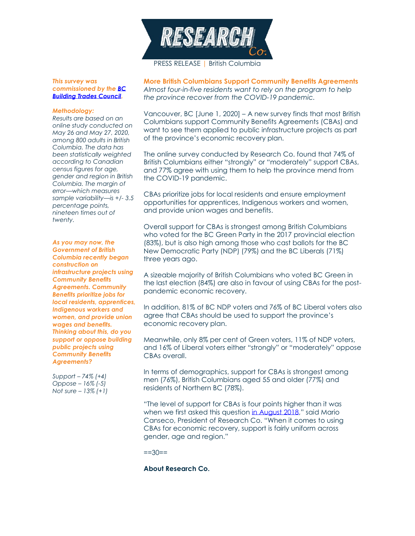

*This survey was commissioned by th[e BC](http://www.bcbuildingtrades.org/)  [Building Trades Council.](http://www.bcbuildingtrades.org/)*

## *Methodology:*

*Results are based on an online study conducted on May 26 and May 27, 2020, among 800 adults in British Columbia. The data has been statistically weighted according to Canadian census figures for age, gender and region in British Columbia. The margin of error—which measures sample variability—is +/- 3.5 percentage points, nineteen times out of twenty.*

*As you may now, the Government of British Columbia recently began construction on infrastructure projects using Community Benefits Agreements. Community Benefits prioritize jobs for local residents, apprentices, Indigenous workers and women, and provide union wages and benefits. Thinking about this, do you support or oppose building public projects using Community Benefits Agreements?*

*Support – 74% (+4) Oppose – 16% (-5) Not sure – 13% (+1)*

**More British Columbians Support Community Benefits Agreements** *Almost four-in-five residents want to rely on the program to help the province recover from the COVID-19 pandemic.*

Vancouver, BC [June 1, 2020] – A new survey finds that most British Columbians support Community Benefits Agreements (CBAs) and want to see them applied to public infrastructure projects as part of the province's economic recovery plan.

The online survey conducted by Research Co. found that 74% of British Columbians either "strongly" or "moderately" support CBAs, and 77% agree with using them to help the province mend from the COVID-19 pandemic.

CBAs prioritize jobs for local residents and ensure employment opportunities for apprentices, Indigenous workers and women, and provide union wages and benefits.

Overall support for CBAs is strongest among British Columbians who voted for the BC Green Party in the 2017 provincial election (83%), but is also high among those who cast ballots for the BC New Democratic Party (NDP) (79%) and the BC Liberals (71%) three years ago.

A sizeable majority of British Columbians who voted BC Green in the last election (84%) are also in favour of using CBAs for the postpandemic economic recovery.

In addition, 81% of BC NDP voters and 76% of BC Liberal voters also agree that CBAs should be used to support the province's economic recovery plan.

Meanwhile, only 8% per cent of Green voters, 11% of NDP voters, and 16% of Liberal voters either "strongly" or "moderately" oppose CBAs overall.

In terms of demographics, support for CBAs is strongest among men (76%), British Columbians aged 55 and older (77%) and residents of Northern BC (78%).

"The level of support for CBAs is four points higher than it was when we first asked this question [in August 2018](https://researchco.ca/2018/08/09/community-benefits-agreements/)," said Mario Canseco, President of Research Co. "When it comes to using CBAs for economic recovery, support is fairly uniform across gender, age and region."

 $==30==$ 

## **About Research Co.**